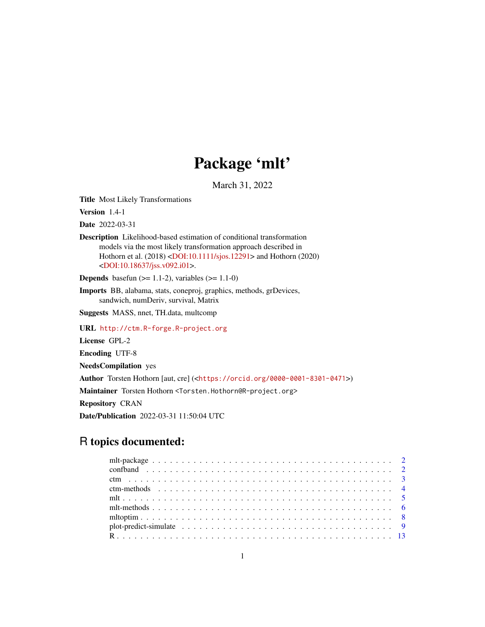# Package 'mlt'

March 31, 2022

<span id="page-0-0"></span>Title Most Likely Transformations

Version 1.4-1

Date 2022-03-31

Description Likelihood-based estimation of conditional transformation models via the most likely transformation approach described in Hothorn et al. (2018) [<DOI:10.1111/sjos.12291>](https://doi.org/10.1111/sjos.12291) and Hothorn (2020) [<DOI:10.18637/jss.v092.i01>](https://doi.org/10.18637/jss.v092.i01).

**Depends** basefun  $(>= 1.1-2)$ , variables  $(>= 1.1-0)$ 

Imports BB, alabama, stats, coneproj, graphics, methods, grDevices, sandwich, numDeriv, survival, Matrix

Suggests MASS, nnet, TH.data, multcomp

URL <http://ctm.R-forge.R-project.org>

License GPL-2

Encoding UTF-8

NeedsCompilation yes

Author Torsten Hothorn [aut, cre] (<<https://orcid.org/0000-0001-8301-0471>>)

Maintainer Torsten Hothorn <Torsten.Hothorn@R-project.org>

Repository CRAN

Date/Publication 2022-03-31 11:50:04 UTC

# R topics documented: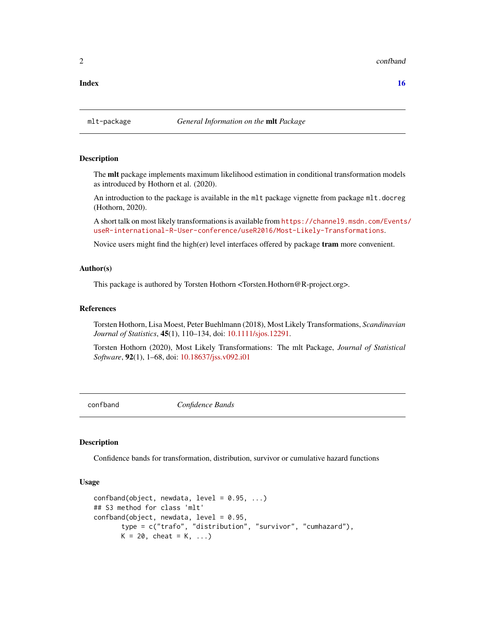#### <span id="page-1-0"></span>2 confband control of the control of the confband confband confband confband confband confband confband confband conf

#### **Index** the contract of the contract of the contract of the contract of the contract of the contract of the contract of the contract of the contract of the contract of the contract of the contract of the contract of the co

#### mlt-package *General Information on the* mlt *Package*

#### Description

The mlt package implements maximum likelihood estimation in conditional transformation models as introduced by Hothorn et al. (2020).

An introduction to the package is available in the mlt package vignette from package mlt.docreg (Hothorn, 2020).

A short talk on most likely transformations is available from [https://channel9.msdn.com/Events](https://channel9.msdn.com/Events/useR-international-R-User-conference/useR2016/Most-Likely-Transformations)/ [useR-international-R-User-conference/useR2016/Most-Likely-Transformations](https://channel9.msdn.com/Events/useR-international-R-User-conference/useR2016/Most-Likely-Transformations).

Novice users might find the high(er) level interfaces offered by package tram more convenient.

#### Author(s)

This package is authored by Torsten Hothorn <Torsten.Hothorn@R-project.org>.

#### References

Torsten Hothorn, Lisa Moest, Peter Buehlmann (2018), Most Likely Transformations, *Scandinavian Journal of Statistics*, 45(1), 110–134, doi: [10.1111/sjos.12291.](https://doi.org/10.1111/sjos.12291)

Torsten Hothorn (2020), Most Likely Transformations: The mlt Package, *Journal of Statistical Software*, 92(1), 1–68, doi: [10.18637/jss.v092.i01](https://doi.org/10.18637/jss.v092.i01)

confband *Confidence Bands*

#### Description

Confidence bands for transformation, distribution, survivor or cumulative hazard functions

#### Usage

```
confband(object, new data, level = 0.95, ...)## S3 method for class 'mlt'
confband(object, newdata, level = 0.95,
       type = c("trafo", "distribution", "survivor", "cumhazard"),
      K = 20, cheat = K, ...)
```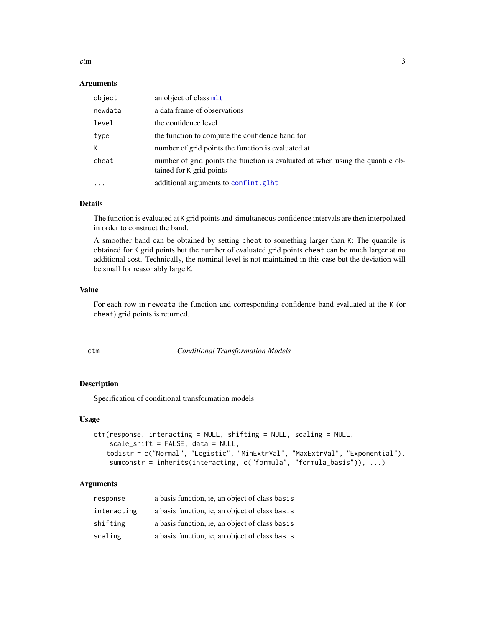<span id="page-2-0"></span>ctm 3

#### Arguments

| object    | an object of class mlt                                                                                     |
|-----------|------------------------------------------------------------------------------------------------------------|
| newdata   | a data frame of observations                                                                               |
| level     | the confidence level                                                                                       |
| type      | the function to compute the confidence band for                                                            |
| К         | number of grid points the function is evaluated at                                                         |
| cheat     | number of grid points the function is evaluated at when using the quantile ob-<br>tained for K grid points |
| $\ddotsc$ | additional arguments to confint.glht                                                                       |

#### Details

The function is evaluated at K grid points and simultaneous confidence intervals are then interpolated in order to construct the band.

A smoother band can be obtained by setting cheat to something larger than K: The quantile is obtained for K grid points but the number of evaluated grid points cheat can be much larger at no additional cost. Technically, the nominal level is not maintained in this case but the deviation will be small for reasonably large K.

#### Value

For each row in newdata the function and corresponding confidence band evaluated at the K (or cheat) grid points is returned.

<span id="page-2-1"></span>

| ٠                | o.<br>٠<br>PU 1 |  |
|------------------|-----------------|--|
| ×<br>I<br>$\sim$ |                 |  |

m *Conditional Transformation Models* 

#### Description

Specification of conditional transformation models

#### Usage

```
ctm(response, interacting = NULL, shifting = NULL, scaling = NULL,
   scale_shift = FALSE, data = NULL,
   todistr = c("Normal", "Logistic", "MinExtrVal", "MaxExtrVal", "Exponential"),
   sumconstr = inherits(interacting, c("formula", "formula_basis")), ...)
```

| response    | a basis function, ie, an object of class basis |
|-------------|------------------------------------------------|
| interacting | a basis function, ie, an object of class basis |
| shifting    | a basis function, ie, an object of class basis |
| scaling     | a basis function, ie, an object of class basis |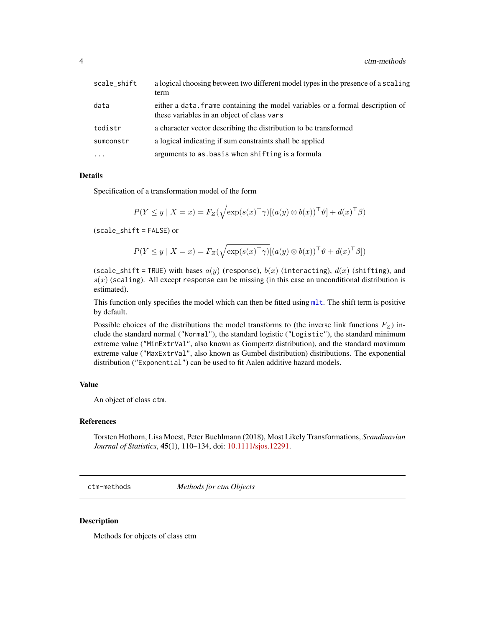<span id="page-3-0"></span>

| scale_shift | a logical choosing between two different model types in the presence of a scaling<br>term                                    |
|-------------|------------------------------------------------------------------------------------------------------------------------------|
| data        | either a data, frame containing the model variables or a formal description of<br>these variables in an object of class vars |
| todistr     | a character vector describing the distribution to be transformed                                                             |
| sumconstr   | a logical indicating if sum constraints shall be applied                                                                     |
| $\ddots$ .  | arguments to as basis when shifting is a formula                                                                             |

Specification of a transformation model of the form

$$
P(Y \le y \mid X = x) = F_Z(\sqrt{\exp(s(x)^{\top}\gamma)}[(a(y) \otimes b(x))^{\top}\vartheta] + d(x)^{\top}\beta)
$$

(scale\_shift = FALSE) or

$$
P(Y \le y \mid X = x) = F_Z(\sqrt{\exp(s(x)^{\top}\gamma)}[(a(y) \otimes b(x))^{\top}\vartheta + d(x)^{\top}\beta])
$$

(scale\_shift = TRUE) with bases  $a(y)$  (response),  $b(x)$  (interacting),  $d(x)$  (shifting), and  $s(x)$  (scaling). All except response can be missing (in this case an unconditional distribution is estimated).

This function only specifies the model which can then be fitted using  $mlt$ . The shift term is positive by default.

Possible choices of the distributions the model transforms to (the inverse link functions  $F_Z$ ) include the standard normal ("Normal"), the standard logistic ("Logistic"), the standard minimum extreme value ("MinExtrVal", also known as Gompertz distribution), and the standard maximum extreme value ("MaxExtrVal", also known as Gumbel distribution) distributions. The exponential distribution ("Exponential") can be used to fit Aalen additive hazard models.

#### Value

An object of class ctm.

#### References

Torsten Hothorn, Lisa Moest, Peter Buehlmann (2018), Most Likely Transformations, *Scandinavian Journal of Statistics*, 45(1), 110–134, doi: [10.1111/sjos.12291.](https://doi.org/10.1111/sjos.12291)

ctm-methods *Methods for ctm Objects*

#### Description

Methods for objects of class ctm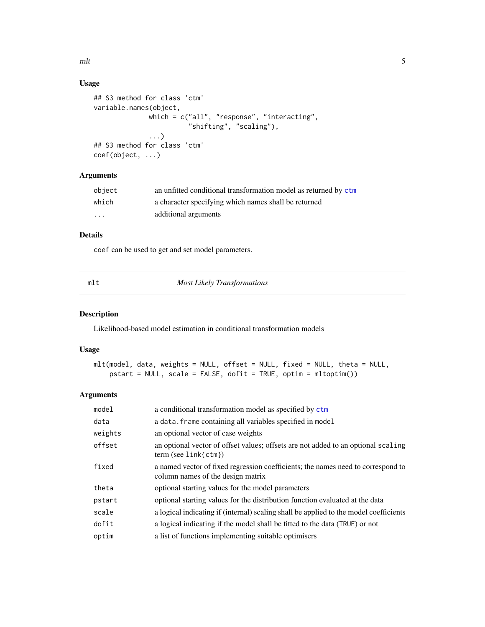<span id="page-4-0"></span> $mlt$  5

### Usage

```
## S3 method for class 'ctm'
variable.names(object,
              which = c("all", "response", "interacting",
                        "shifting", "scaling"),
              ...)
## S3 method for class 'ctm'
coef(object, ...)
```
## Arguments

| object | an unfitted conditional transformation model as returned by ctm |
|--------|-----------------------------------------------------------------|
| which  | a character specifying which names shall be returned            |
| .      | additional arguments                                            |

### Details

coef can be used to get and set model parameters.

<span id="page-4-1"></span>mlt *Most Likely Transformations*

#### Description

Likelihood-based model estimation in conditional transformation models

#### Usage

```
mlt(model, data, weights = NULL, offset = NULL, fixed = NULL, theta = NULL,
   pstart = NULL, scale = FALSE, dofit = TRUE, optim = mltoptim())
```

| model   | a conditional transformation model as specified by ctm                                                                |
|---------|-----------------------------------------------------------------------------------------------------------------------|
| data    | a data. frame containing all variables specified in model                                                             |
| weights | an optional vector of case weights                                                                                    |
| offset  | an optional vector of offset values; offsets are not added to an optional scaling<br>$term (see link {ctm})$          |
| fixed   | a named vector of fixed regression coefficients; the names need to correspond to<br>column names of the design matrix |
| theta   | optional starting values for the model parameters                                                                     |
| pstart  | optional starting values for the distribution function evaluated at the data                                          |
| scale   | a logical indicating if (internal) scaling shall be applied to the model coefficients                                 |
| dofit   | a logical indicating if the model shall be fitted to the data (TRUE) or not                                           |
| optim   | a list of functions implementing suitable optimisers                                                                  |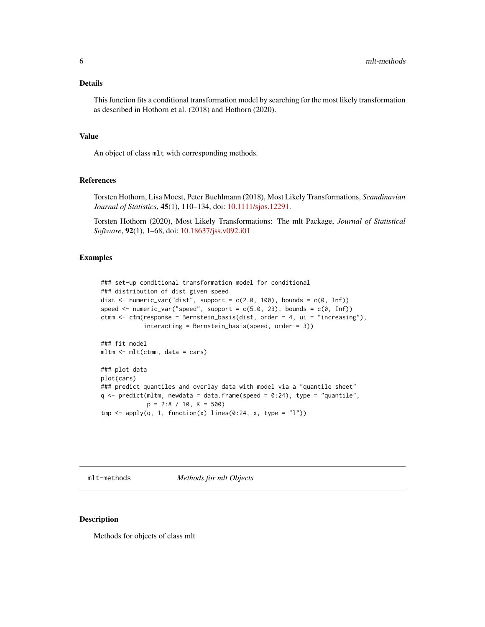<span id="page-5-0"></span>This function fits a conditional transformation model by searching for the most likely transformation as described in Hothorn et al. (2018) and Hothorn (2020).

#### Value

An object of class mlt with corresponding methods.

#### References

Torsten Hothorn, Lisa Moest, Peter Buehlmann (2018), Most Likely Transformations, *Scandinavian Journal of Statistics*, 45(1), 110–134, doi: [10.1111/sjos.12291.](https://doi.org/10.1111/sjos.12291)

Torsten Hothorn (2020), Most Likely Transformations: The mlt Package, *Journal of Statistical Software*, 92(1), 1–68, doi: [10.18637/jss.v092.i01](https://doi.org/10.18637/jss.v092.i01)

#### Examples

```
### set-up conditional transformation model for conditional
### distribution of dist given speed
dist <- numeric_var("dist", support = c(2.0, 100), bounds = c(0, Inf))
speed <- numeric_var("speed", support = c(5.0, 23), bounds = c(0, Inf))
ctmm <- ctm(response = Bernstein_basis(dist, order = 4, ui = "increasing"),
            interacting = Bernstein_basis(speed, order = 3))
### fit model
mltm <- mlt(ctmm, data = cars)
### plot data
plot(cars)
### predict quantiles and overlay data with model via a "quantile sheet"
q \leq predict(mltm, newdata = data.frame(speed = 0:24), type = "quantile",
             p = 2:8 / 10, K = 500tmp \leftarrow apply(q, 1, function(x) lines(0:24, x, type = "l"))
```
mlt-methods *Methods for mlt Objects*

#### Description

Methods for objects of class mlt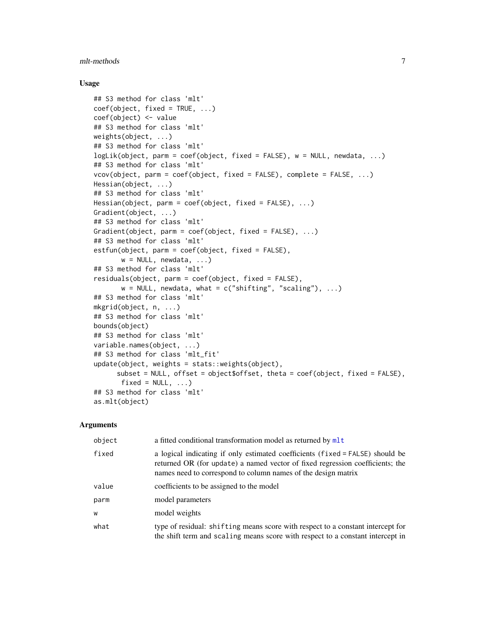#### <span id="page-6-0"></span>mlt-methods 7

#### Usage

```
## S3 method for class 'mlt'
coef(object, fixed = TRUE, ...)coef(object) <- value
## S3 method for class 'mlt'
weights(object, ...)
## S3 method for class 'mlt'
logLik(object, parm = coef(object, fixed = FALSE), w = NULL, newdata, ...)
## S3 method for class 'mlt'
vcov(object, parm = coef(object, fixed = FALSE), complete = FALSE, ...)
Hessian(object, ...)
## S3 method for class 'mlt'
Hessian(object, parm = coef(object, fixed = FALSE), ...)
Gradient(object, ...)
## S3 method for class 'mlt'
Gradient(object, parm = coef(object, fixed = FALSE), ...)
## S3 method for class 'mlt'
estfun(object, parm = coef(object, fixed = FALSE),
       w = NULL, newdata, ...)
## S3 method for class 'mlt'
residuals(object, parm = coef(object, fixed = FALSE),
       w = NULL, newdata, what = c("shifting", "scaling"), ...)
## S3 method for class 'mlt'
mkgrid(object, n, ...)
## S3 method for class 'mlt'
bounds(object)
## S3 method for class 'mlt'
variable.names(object, ...)
## S3 method for class 'mlt_fit'
update(object, weights = stats::weights(object),
     subset = NULL, offset = object$offset, theta = coef(object, fixed = FALSE),
      fixed = NULL, ...## S3 method for class 'mlt'
as.mlt(object)
```

| object | a fitted conditional transformation model as returned by mlt                                                                                                                                                                    |
|--------|---------------------------------------------------------------------------------------------------------------------------------------------------------------------------------------------------------------------------------|
| fixed  | a logical indicating if only estimated coefficients (fixed = FALSE) should be<br>returned OR (for update) a named vector of fixed regression coefficients; the<br>names need to correspond to column names of the design matrix |
| value  | coefficients to be assigned to the model                                                                                                                                                                                        |
| parm   | model parameters                                                                                                                                                                                                                |
| W      | model weights                                                                                                                                                                                                                   |
| what   | type of residual: shifting means score with respect to a constant intercept for<br>the shift term and scaling means score with respect to a constant intercept in                                                               |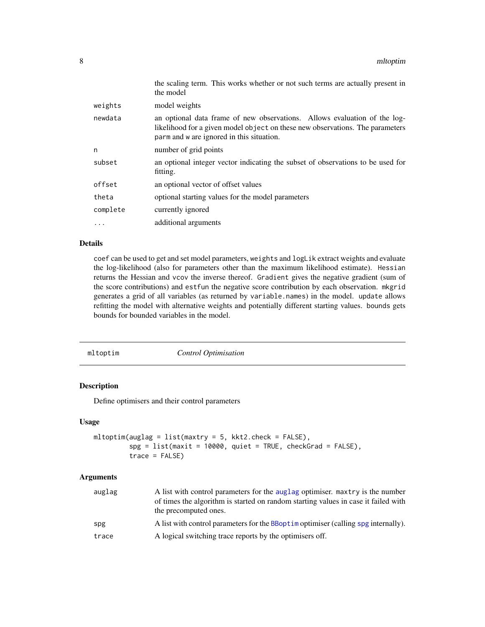<span id="page-7-0"></span>

|          | the scaling term. This works whether or not such terms are actually present in<br>the model                                                                                                             |
|----------|---------------------------------------------------------------------------------------------------------------------------------------------------------------------------------------------------------|
| weights  | model weights                                                                                                                                                                                           |
| newdata  | an optional data frame of new observations. Allows evaluation of the log-<br>likelihood for a given model object on these new observations. The parameters<br>parm and w are ignored in this situation. |
| n        | number of grid points                                                                                                                                                                                   |
| subset   | an optional integer vector indicating the subset of observations to be used for<br>fitting.                                                                                                             |
| offset   | an optional vector of offset values                                                                                                                                                                     |
| theta    | optional starting values for the model parameters                                                                                                                                                       |
| complete | currently ignored                                                                                                                                                                                       |
| $\cdots$ | additional arguments                                                                                                                                                                                    |

coef can be used to get and set model parameters, weights and logLik extract weights and evaluate the log-likelihood (also for parameters other than the maximum likelihood estimate). Hessian returns the Hessian and vcov the inverse thereof. Gradient gives the negative gradient (sum of the score contributions) and estfun the negative score contribution by each observation. mkgrid generates a grid of all variables (as returned by variable.names) in the model. update allows refitting the model with alternative weights and potentially different starting values. bounds gets bounds for bounded variables in the model.

mltoptim *Control Optimisation*

#### Description

Define optimisers and their control parameters

#### Usage

```
mltoptim(auglag = list(maxtry = 5, kkt2. check = FALSE),spg = list(maxit = 10000, quiet = TRUE, checkGrad = FALSE),trace = FALSE)
```

| auglag | A list with control parameters for the auglag optimiser. maxtry is the number<br>of times the algorithm is started on random starting values in case it failed with<br>the precomputed ones. |
|--------|----------------------------------------------------------------------------------------------------------------------------------------------------------------------------------------------|
| spg    | A list with control parameters for the BBopt im optimiser (calling spg internally).                                                                                                          |
| trace  | A logical switching trace reports by the optimisers off.                                                                                                                                     |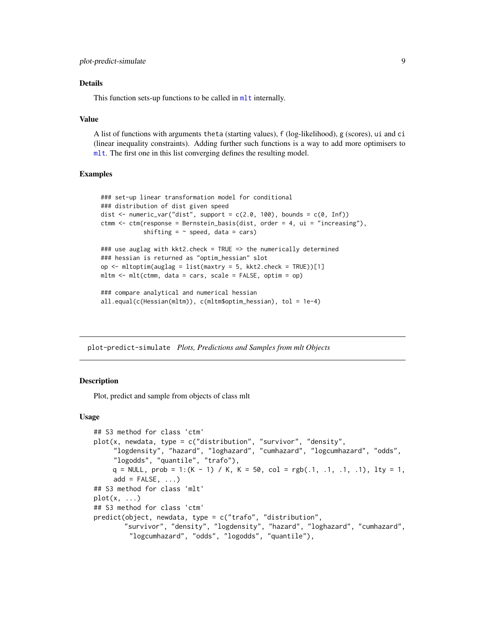<span id="page-8-0"></span>This function sets-up functions to be called in m<sub>1</sub>t internally.

#### Value

A list of functions with arguments theta (starting values), f (log-likelihood), g (scores), ui and ci (linear inequality constraints). Adding further such functions is a way to add more optimisers to [mlt](#page-4-1). The first one in this list converging defines the resulting model.

#### Examples

```
### set-up linear transformation model for conditional
### distribution of dist given speed
dist \le numeric_var("dist", support = c(2.0, 100), bounds = c(0, Inf))
ctmm \le ctm(response = Bernstein_basis(dist, order = 4, ui = "increasing"),
            shifting = \sim speed, data = cars)
### use auglag with kkt2.check = TRUE => the numerically determined
### hessian is returned as "optim_hessian" slot
op <- mltoptim(auglag = list(maxtry = 5, kkt2.check = TRUE))[1]
mltm \leq mlt(ctmm, data = cars, scale = FALSE, optim = op)
### compare analytical and numerical hessian
all.equal(c(Hessian(mltm)), c(mltm$optim_hessian), tol = 1e-4)
```
plot-predict-simulate *Plots, Predictions and Samples from mlt Objects*

#### **Description**

Plot, predict and sample from objects of class mlt

#### Usage

```
## S3 method for class 'ctm'
plot(x, newdata, type = c("distribution", "survivor", "density",
     "logdensity", "hazard", "loghazard", "cumhazard", "logcumhazard", "odds",
     "logodds", "quantile", "trafo"),
    q = NULL, prob = 1:(K - 1) / K, K = 50, col = rgb(.1, .1, .1, .1), lty = 1,
     add = FALSE, ...)## S3 method for class 'mlt'
plot(x, \ldots)## S3 method for class 'ctm'
predict(object, newdata, type = c("trafo", "distribution",
        "survivor", "density", "logdensity", "hazard", "loghazard", "cumhazard",
         "logcumhazard", "odds", "logodds", "quantile"),
```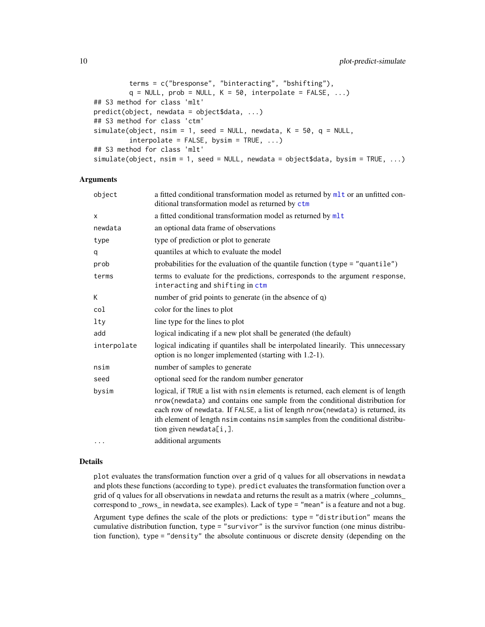```
terms = c("bresponse", "binteracting", "bshifting"),
         q = NULL, prob = NULL, K = 50, interpolate = FALSE, ...)
## S3 method for class 'mlt'
predict(object, newdata = object$data, ...)
## S3 method for class 'ctm'
simulate(object, nsim = 1, seed = NULL, newdata, K = 50, q = NULL,
         interpolate = FALSE, bysim = TRUE, ...## S3 method for class 'mlt'
simulate(object, nsim = 1, seed = NULL, newdata = object$data, bysim = TRUE, ...)
```
#### Arguments

| object      | a fitted conditional transformation model as returned by mlt or an unfitted con-<br>ditional transformation model as returned by ctm                                                                                                                                                                                                                              |
|-------------|-------------------------------------------------------------------------------------------------------------------------------------------------------------------------------------------------------------------------------------------------------------------------------------------------------------------------------------------------------------------|
| x           | a fitted conditional transformation model as returned by mlt                                                                                                                                                                                                                                                                                                      |
| newdata     | an optional data frame of observations                                                                                                                                                                                                                                                                                                                            |
| type        | type of prediction or plot to generate                                                                                                                                                                                                                                                                                                                            |
| q           | quantiles at which to evaluate the model                                                                                                                                                                                                                                                                                                                          |
| prob        | probabilities for the evaluation of the quantile function $(type = "quantile")$                                                                                                                                                                                                                                                                                   |
| terms       | terms to evaluate for the predictions, corresponds to the argument response,<br>interacting and shifting in ctm                                                                                                                                                                                                                                                   |
| K           | number of grid points to generate (in the absence of q)                                                                                                                                                                                                                                                                                                           |
| col         | color for the lines to plot                                                                                                                                                                                                                                                                                                                                       |
| lty         | line type for the lines to plot                                                                                                                                                                                                                                                                                                                                   |
| add         | logical indicating if a new plot shall be generated (the default)                                                                                                                                                                                                                                                                                                 |
| interpolate | logical indicating if quantiles shall be interpolated linearily. This unnecessary<br>option is no longer implemented (starting with 1.2-1).                                                                                                                                                                                                                       |
| nsim        | number of samples to generate                                                                                                                                                                                                                                                                                                                                     |
| seed        | optional seed for the random number generator                                                                                                                                                                                                                                                                                                                     |
| bysim       | logical, if TRUE a list with nsim elements is returned, each element is of length<br>nrow(newdata) and contains one sample from the conditional distribution for<br>each row of newdata. If FALSE, a list of length nrow (newdata) is returned, its<br>ith element of length nsim contains nsim samples from the conditional distribu-<br>tion given newdata[i,]. |
| $\cdots$    | additional arguments                                                                                                                                                                                                                                                                                                                                              |

#### Details

plot evaluates the transformation function over a grid of q values for all observations in newdata and plots these functions (according to type). predict evaluates the transformation function over a grid of q values for all observations in newdata and returns the result as a matrix (where \_columns\_ correspond to \_rows\_ in newdata, see examples). Lack of type = "mean" is a feature and not a bug.

Argument type defines the scale of the plots or predictions: type = "distribution" means the cumulative distribution function, type = "survivor" is the survivor function (one minus distribution function), type = "density" the absolute continuous or discrete density (depending on the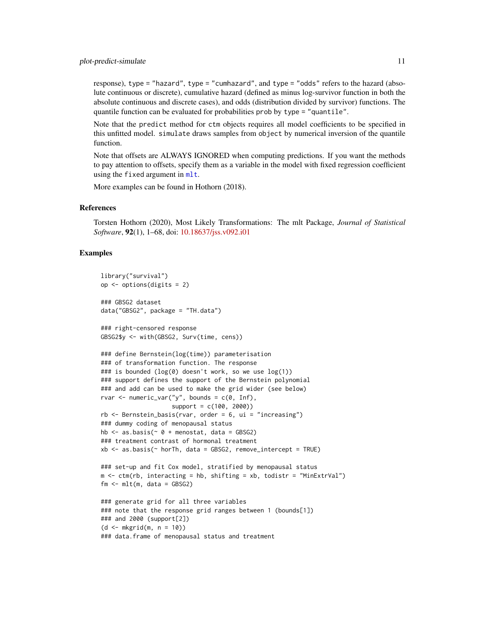<span id="page-10-0"></span>response), type = "hazard", type = "cumhazard", and type = "odds" refers to the hazard (absolute continuous or discrete), cumulative hazard (defined as minus log-survivor function in both the absolute continuous and discrete cases), and odds (distribution divided by survivor) functions. The quantile function can be evaluated for probabilities prob by type = "quantile".

Note that the predict method for ctm objects requires all model coefficients to be specified in this unfitted model. simulate draws samples from object by numerical inversion of the quantile function.

Note that offsets are ALWAYS IGNORED when computing predictions. If you want the methods to pay attention to offsets, specify them as a variable in the model with fixed regression coefficient using the fixed argument in [mlt](#page-4-1).

More examples can be found in Hothorn (2018).

#### References

Torsten Hothorn (2020), Most Likely Transformations: The mlt Package, *Journal of Statistical Software*, 92(1), 1–68, doi: [10.18637/jss.v092.i01](https://doi.org/10.18637/jss.v092.i01)

#### Examples

```
library("survival")
op <- options(digits = 2)
### GBSG2 dataset
data("GBSG2", package = "TH.data")
### right-censored response
GBSG2$y <- with(GBSG2, Surv(time, cens))
### define Bernstein(log(time)) parameterisation
### of transformation function. The response
### is bounded (log(0) doesn't work, so we use log(1))
### support defines the support of the Bernstein polynomial
### and add can be used to make the grid wider (see below)
rvar \leq numeric_var("y", bounds = c(0, Inf),
                    support = c(100, 2000))
rb \leq Bernstein_basis(rvar, order = 6, ui = "increasing")
### dummy coding of menopausal status
hb \leq as.basis(\leq 0 + menostat, data = GBSG2)
### treatment contrast of hormonal treatment
xb \leq as.basis(\sim horTh, data = GBSG2, remove_interestept = TRUE)### set-up and fit Cox model, stratified by menopausal status
m \le - ctm(rb, interacting = hb, shifting = xb, todistr = "MinExtrVal")
fm \leq mlt(m, data = GBSG2)### generate grid for all three variables
### note that the response grid ranges between 1 (bounds[1])
### and 2000 (support[2])
(d < - mkgrid(m, n = 10))### data.frame of menopausal status and treatment
```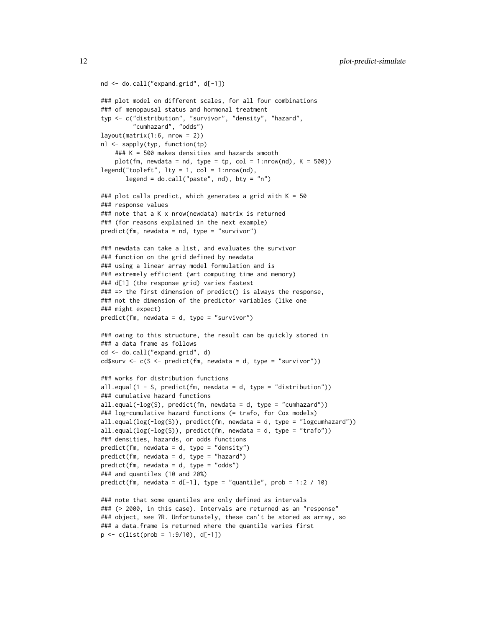```
nd <- do.call("expand.grid", d[-1])
### plot model on different scales, for all four combinations
### of menopausal status and hormonal treatment
typ <- c("distribution", "survivor", "density", "hazard",
         "cumhazard", "odds")
layout(matrix(1:6, nrow = 2))nl <- sapply(typ, function(tp)
    ### K = 500 makes densities and hazards smooth
    plot(fm, newdata = nd, type = tp, col = 1:nrow(nd), K = 500)legend("topleft", lty = 1, col = 1:nrow(nd),legend = do-call("paste", nd), bty = "n")### plot calls predict, which generates a grid with K = 50### response values
### note that a K x nrow(newdata) matrix is returned
### (for reasons explained in the next example)
predict(fm, newdata = nd, type = "survivor")
### newdata can take a list, and evaluates the survivor
### function on the grid defined by newdata
### using a linear array model formulation and is
### extremely efficient (wrt computing time and memory)
### d[1] (the response grid) varies fastest
### => the first dimension of predict() is always the response,
### not the dimension of the predictor variables (like one
### might expect)
predict(fm, newdata = d, type = "survivor")
### owing to this structure, the result can be quickly stored in
### a data frame as follows
cd <- do.call("expand.grid", d)
cd$surv <- c(S <- predict(fm, newdata = d, type = "survivor"))
### works for distribution functions
all.equal(1 - S, predict(fm, newdata = d, type = "distribution"))
### cumulative hazard functions
all.equal(-log(S), predict(fm, newdata = d, type = "cumhazard"))
### log-cumulative hazard functions (= trafo, for Cox models)
all.equal(log(-log(S)), predict(fm, newdata = d, type = "logcumhazard"))
all.equal(log(-log(S)), predict(fm, newdata = d, type = "trafo"))
### densities, hazards, or odds functions
predict(fm, newdata = d, type = "density")
predict(fm, newdata = d, type = "hazard")
predict(fm, newdata = d, type = "odds")
### and quantiles (10 and 20%)
predict(fm, newdata = d[-1], type = "quantile", prob = 1:2 / 10)
### note that some quantiles are only defined as intervals
### (> 2000, in this case). Intervals are returned as an "response"
### object, see ?R. Unfortunately, these can't be stored as array, so
### a data.frame is returned where the quantile varies first
p \leftarrow c(list(prob = 1:9/10), d[-1])
```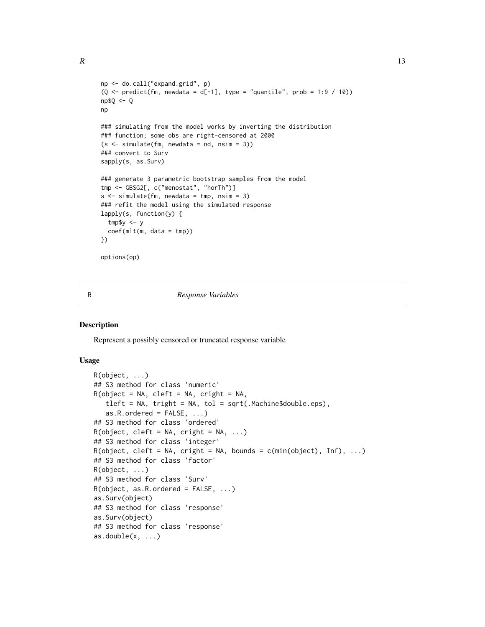```
np <- do.call("expand.grid", p)
(Q \le predict(fm, newdata = d[-1], type = "quantile", prob = 1:9 / 10))
np$Q <- Q
np
### simulating from the model works by inverting the distribution
### function; some obs are right-censored at 2000
(s \leq s imulate(fm, newdata = nd, nsim = 3))
### convert to Surv
sapply(s, as.Surv)
### generate 3 parametric bootstrap samples from the model
tmp <- GBSG2[, c("menostat", "horTh")]
s \leq - \sin(1) simulate(fm, newdata = tmp, nsim = 3)
### refit the model using the simulated response
lapply(s, function(y) {
 tmp$y <- y
 coef(mlt(m, data = tmp))
})
options(op)
```
#### R *Response Variables*

#### Description

Represent a possibly censored or truncated response variable

#### Usage

```
R(object, ...)
## S3 method for class 'numeric'
R(object = NA, cleft = NA, criight = NA,tleft = NA, tright = NA, tol = sqrt(.Machine$double.eps),
   as.R.ordered = FALSE, ...## S3 method for class 'ordered'
R(object, cleft = NA, criight = NA, ...)## S3 method for class 'integer'
R(object, cleft = NA, criight = NA, bounds = c(min(object), Inf), ...## S3 method for class 'factor'
R(object, ...)
## S3 method for class 'Surv'
R(object, as.R.ordered = FALSE, \ldots)
as.Surv(object)
## S3 method for class 'response'
as.Surv(object)
## S3 method for class 'response'
as.double(x, ...)
```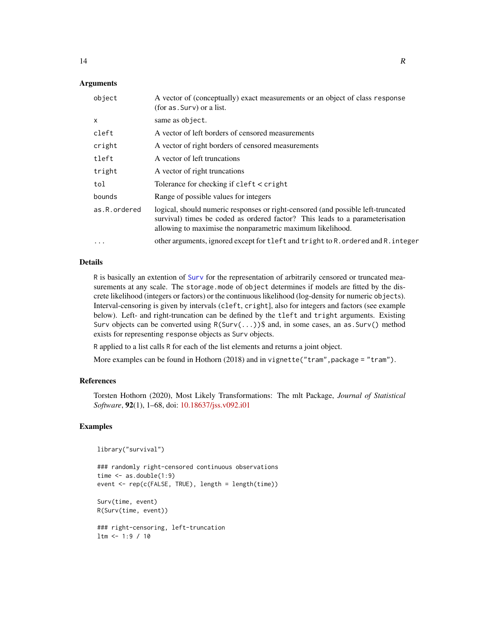# Arguments

| object       | A vector of (conceptually) exact measurements or an object of class response<br>(for as . Surv) or a list.                                                                                                                     |
|--------------|--------------------------------------------------------------------------------------------------------------------------------------------------------------------------------------------------------------------------------|
| X            | same as object.                                                                                                                                                                                                                |
| cleft        | A vector of left borders of censored measurements                                                                                                                                                                              |
| cright       | A vector of right borders of censored measurements                                                                                                                                                                             |
| tleft        | A vector of left truncations                                                                                                                                                                                                   |
| tright       | A vector of right truncations                                                                                                                                                                                                  |
| tol          | Tolerance for checking if $cleft <$ cright                                                                                                                                                                                     |
| bounds       | Range of possible values for integers                                                                                                                                                                                          |
| as.R.ordered | logical, should numeric responses or right-censored (and possible left-truncated<br>survival) times be coded as ordered factor? This leads to a parameterisation<br>allowing to maximise the nonparametric maximum likelihood. |
| $\ddotsc$    | other arguments, ignored except for tleft and tright to R. ordered and R. integer                                                                                                                                              |

#### Details

R is basically an extention of [Surv](#page-0-0) for the representation of arbitrarily censored or truncated measurements at any scale. The storage.mode of object determines if models are fitted by the discrete likelihood (integers or factors) or the continuous likelihood (log-density for numeric objects). Interval-censoring is given by intervals (cleft, cright], also for integers and factors (see example below). Left- and right-truncation can be defined by the tleft and tright arguments. Existing Surv objects can be converted using  $R(Surv(...))\$  and, in some cases, an as. Surv() method exists for representing response objects as Surv objects.

R applied to a list calls R for each of the list elements and returns a joint object.

More examples can be found in Hothorn (2018) and in vignette("tram", package = "tram").

#### References

Torsten Hothorn (2020), Most Likely Transformations: The mlt Package, *Journal of Statistical Software*, 92(1), 1–68, doi: [10.18637/jss.v092.i01](https://doi.org/10.18637/jss.v092.i01)

#### Examples

```
library("survival")
```

```
### randomly right-censored continuous observations
time \leq as.double(1:9)
event <- rep(c(FALSE, TRUE), length = length(time))
Surv(time, event)
R(Surv(time, event))
### right-censoring, left-truncation
ltm <- 1:9 / 10
```
<span id="page-13-0"></span>14 R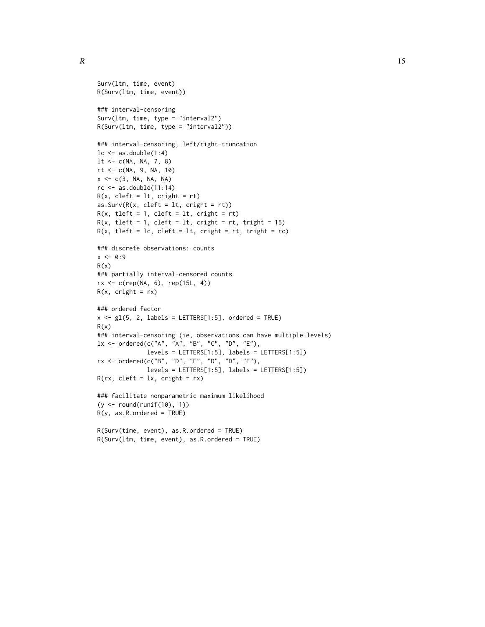```
Surv(ltm, time, event)
R(Surv(ltm, time, event))
### interval-censoring
Surv(ltm, time, type = "interval2")
R(Surv(ltm, time, type = "interval2"))
### interval-censoring, left/right-truncation
lc \leftarrow as.double(1:4)lt < -c(NA, NA, 7, 8)rt <- c(NA, 9, NA, 10)
x <- c(3, NA, NA, NA)
rc \leftarrow as.double(11:14)R(x, \text{ cleft} = 1t, \text{ cright} = rt)as.Surv(R(x, cleft = lt, cright = rt))R(x, tleft = 1, cleft = 1t, cright = rt)R(x, tleft = 1, cleft = 1t, cright = rt, tright = 15)R(x, tleft = lc, cleft = lt, cright = rt, tright = rc)### discrete observations: counts
x \le -0:9R(x)### partially interval-censored counts
rx <- c(rep(NA, 6), rep(15L, 4))
R(x, crit) = rx)
### ordered factor
x \leq g1(5, 2, labels = LETTERS[1:5], ordered = TRUE)R(x)### interval-censoring (ie, observations can have multiple levels)
lx <- ordered(c("A", "A", "B", "C", "D", "E"),
              levels = LETTERS[1:5], labels = LETTERS[1:5])rx <- ordered(c("B", "D", "E", "D", "D", "E"),
              levels = LETTERS[1:5], labels = LETTERS[1:5])
R(rx, cleft = lx, cright = rx)### facilitate nonparametric maximum likelihood
(y <- round(runif(10), 1))
R(y, as.R.ordered = TRUE)
R(Surv(time, event), as.R.ordered = TRUE)
```

```
R(Surv(ltm, time, event), as.R.ordered = TRUE)
```